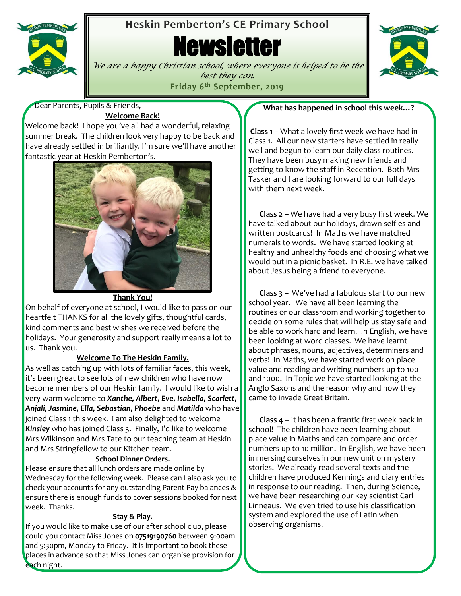

# **Heskin Pemberton's CE Primary School**

**Newsletter** 



*We are a happy Christian school, where everyone is helped to be the best they can.* **Friday 6 th September, 2019**

Dear Parents, Pupils & Friends,

# **Welcome Back!**

Welcome back! I hope you've all had a wonderful, relaxing summer break. The children look very happy to be back and have already settled in brilliantly. I'm sure we'll have another fantastic year at Heskin Pemberton's.



#### **Thank You!**

On behalf of everyone at school, I would like to pass on our heartfelt THANKS for all the lovely gifts, thoughtful cards, kind comments and best wishes we received before the holidays. Your generosity and support really means a lot to us. Thank you.

#### **Welcome To The Heskin Family.**

As well as catching up with lots of familiar faces, this week, it's been great to see lots of new children who have now become members of our Heskin family. I would like to wish a very warm welcome to *Xanthe, Albert, Eve, Isabella, Scarlett, Anjali, Jasmine, Ella, Sebastian, Phoebe* and *Matilda* who have joined Class 1 this week. I am also delighted to welcome *Kinsley* who has joined Class 3. Finally, I'd like to welcome Mrs Wilkinson and Mrs Tate to our teaching team at Heskin and Mrs Stringfellow to our Kitchen team.

#### **School Dinner Orders.**

Please ensure that all lunch orders are made online by Wednesday for the following week. Please can I also ask you to check your accounts for any outstanding Parent Pay balances & ensure there is enough funds to cover sessions booked for next week. Thanks.

#### **Stay & Play.**

If you would like to make use of our after school club, please could you contact Miss Jones on **07519190760** between 9:00am and 5:30pm, Monday to Friday. It is important to book these places in advance so that Miss Jones can organise provision for each night.

## **What has happened in school this week…?**

**Class 1 –** What a lovely first week we have had in Class 1. All our new starters have settled in really well and begun to learn our daily class routines. They have been busy making new friends and getting to know the staff in Reception. Both Mrs Tasker and I are looking forward to our full days with them next week.

 **Class 2 –** We have had a very busy first week. We have talked about our holidays, drawn selfies and written postcards! In Maths we have matched numerals to words. We have started looking at healthy and unhealthy foods and choosing what we would put in a picnic basket. In R.E. we have talked about Jesus being a friend to everyone.

 **Class 3 –** We've had a fabulous start to our new school year. We have all been learning the routines or our classroom and working together to decide on some rules that will help us stay safe and be able to work hard and learn. In English, we have been looking at word classes. We have learnt about phrases, nouns, adjectives, determiners and verbs! In Maths, we have started work on place value and reading and writing numbers up to 100 and 1000. In Topic we have started looking at the Anglo Saxons and the reason why and how they came to invade Great Britain.

 **Class 4 –** It has been a frantic first week back in school! The children have been learning about place value in Maths and can compare and order numbers up to 10 million. In English, we have been immersing ourselves in our new unit on mystery stories. We already read several texts and the children have produced Kennings and diary entries in response to our reading. Then, during Science, we have been researching our key scientist Carl Linneaus. We even tried to use his classification system and explored the use of Latin when observing organisms.

í